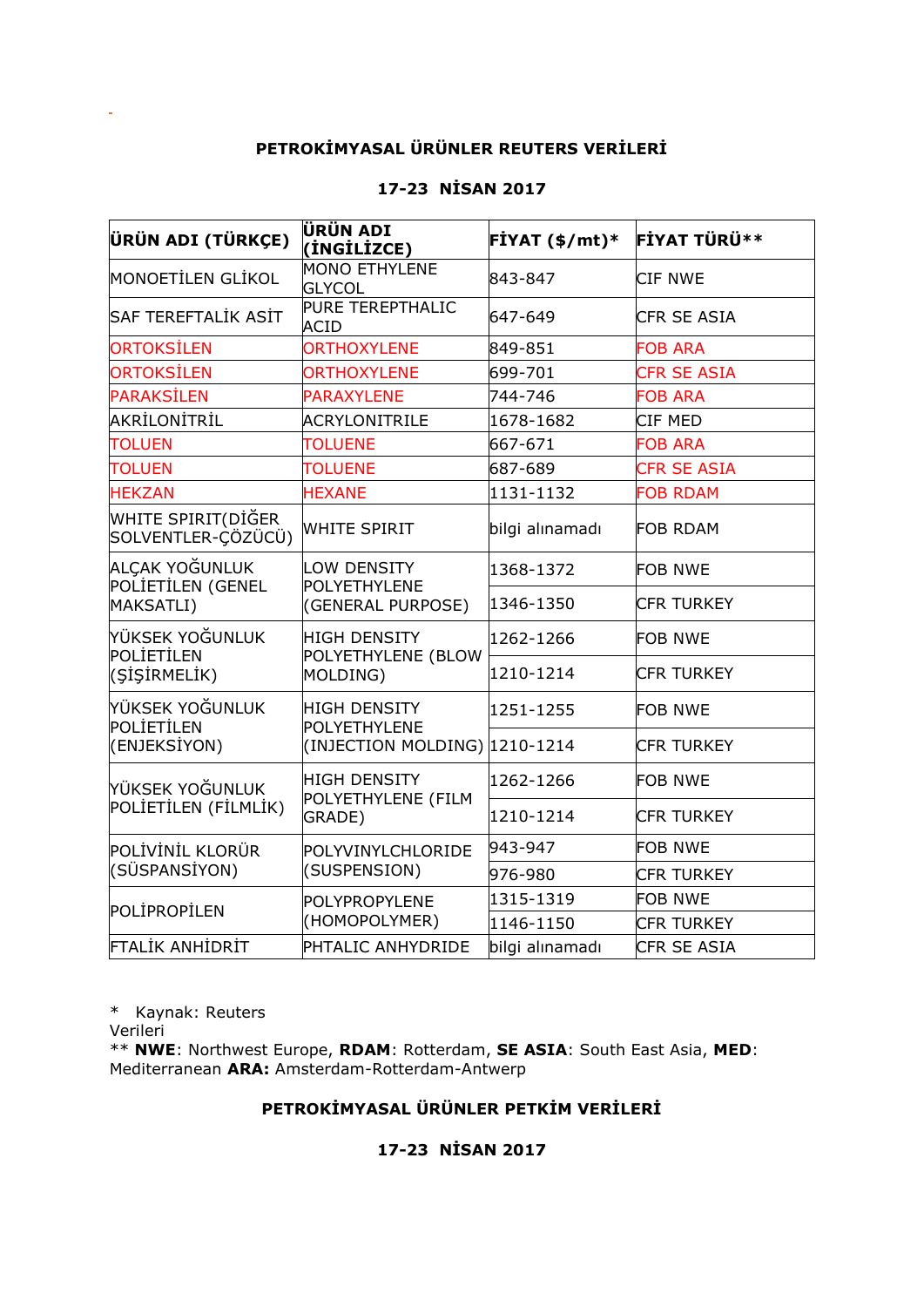## **PETROKİMYASAL ÜRÜNLER REUTERS VERİLERİ**

## **17-23 NİSAN 2017**

| ÜRÜN ADI (TÜRKÇE)                                                                    | ÜRÜN ADI<br>(İNGİLİZCE)                               | $FIYAT ($ \$/mt $)*$ | FIYAT TÜRÜ**       |
|--------------------------------------------------------------------------------------|-------------------------------------------------------|----------------------|--------------------|
| MONOETİLEN GLİKOL                                                                    | <b>MONO ETHYLENE</b><br><b>GLYCOL</b>                 | 843-847              | <b>CIF NWE</b>     |
| SAF TEREFTALİK ASİT                                                                  | PURE TEREPTHALIC<br><b>ACID</b>                       | 647-649              | <b>CFR SE ASIA</b> |
| <b>ORTOKSİLEN</b>                                                                    | <b>ORTHOXYLENE</b>                                    | 849-851              | <b>FOB ARA</b>     |
| ORTOKSİLEN                                                                           | <b>ORTHOXYLENE</b>                                    | 699-701              | <b>CFR SE ASIA</b> |
| <b>PARAKSİLEN</b>                                                                    | <b>PARAXYLENE</b>                                     | 744-746              | <b>FOB ARA</b>     |
| AKRİLONİTRİL                                                                         | <b>ACRYLONITRILE</b>                                  | 1678-1682            | CIF MED            |
| <b>TOLUEN</b>                                                                        | <b>TOLUENE</b>                                        | 667-671              | <b>FOB ARA</b>     |
| <b>TOLUEN</b>                                                                        | <b>TOLUENE</b>                                        | 687-689              | <b>CFR SE ASIA</b> |
| <b>HEKZAN</b>                                                                        | <b>HEXANE</b>                                         | 1131-1132            | <b>FOB RDAM</b>    |
| WHITE SPIRIT(DİĞER<br>SOLVENTLER-ÇÖZÜCÜ)                                             | <b>WHITE SPIRIT</b>                                   | bilgi alınamadı      | <b>FOB RDAM</b>    |
| ALCAK YOĞUNLUK<br>POLİETİLEN (GENEL<br>MAKSATLI)                                     | LOW DENSITY<br>POLYETHYLENE<br>(GENERAL PURPOSE)      | 1368-1372            | <b>FOB NWE</b>     |
|                                                                                      |                                                       | 1346-1350            | <b>CFR TURKEY</b>  |
| YÜKSEK YOĞUNLUK<br>POLİETİLEN<br>(SİŞİRMELİK)                                        | <b>HIGH DENSITY</b><br>POLYETHYLENE (BLOW<br>MOLDING) | 1262-1266            | <b>FOB NWE</b>     |
|                                                                                      |                                                       | 1210-1214            | <b>CFR TURKEY</b>  |
| YÜKSEK YOĞUNLUK<br><b>HIGH DENSITY</b><br>POLİETİLEN<br>POLYETHYLENE<br>(ENJEKSİYON) |                                                       | 1251-1255            | <b>FOB NWE</b>     |
|                                                                                      | (INJECTION MOLDING) 1210-1214                         |                      | <b>CFR TURKEY</b>  |
| YÜKSEK YOĞUNLUK<br>POLIETILEN (FILMLIK)                                              | <b>HIGH DENSITY</b><br>POLYETHYLENE (FILM<br>GRADE)   | 1262-1266            | <b>FOB NWE</b>     |
|                                                                                      |                                                       | 1210-1214            | <b>CFR TURKEY</b>  |
| POLİVİNİL KLORÜR<br>(SÜSPANSİYON)                                                    | POLYVINYLCHLORIDE<br>(SUSPENSION)                     | 943-947              | <b>FOB NWE</b>     |
|                                                                                      |                                                       | 976-980              | <b>CFR TURKEY</b>  |
| POLIPROPILEN                                                                         | POLYPROPYLENE<br>(HOMOPOLYMER)                        | 1315-1319            | <b>FOB NWE</b>     |
|                                                                                      |                                                       | 1146-1150            | <b>CFR TURKEY</b>  |
| <b>FTALİK ANHİDRİT</b>                                                               | PHTALIC ANHYDRIDE                                     | bilgi alınamadı      | CFR SE ASIA        |

\* Kaynak: Reuters

Verileri

\*\* **NWE**: Northwest Europe, **RDAM**: Rotterdam, **SE ASIA**: South East Asia, **MED**: Mediterranean **ARA:** Amsterdam-Rotterdam-Antwerp

## **PETROKİMYASAL ÜRÜNLER PETKİM VERİLERİ**

## **17-23 NİSAN 2017**